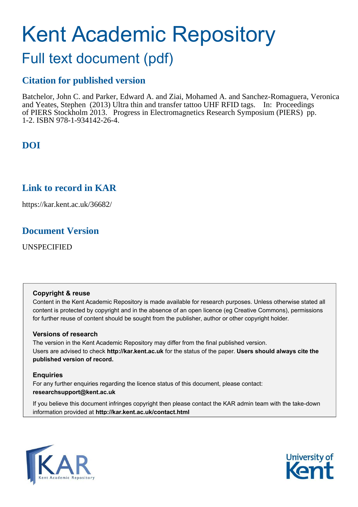# Kent Academic Repository

## Full text document (pdf)

## **Citation for published version**

Batchelor, John C. and Parker, Edward A. and Ziai, Mohamed A. and Sanchez-Romaguera, Veronica and Yeates, Stephen (2013) Ultra thin and transfer tattoo UHF RFID tags. In: Proceedings of PIERS Stockholm 2013. Progress in Electromagnetics Research Symposium (PIERS) pp. 1-2. ISBN 978-1-934142-26-4.

## **DOI**

## **Link to record in KAR**

https://kar.kent.ac.uk/36682/

## **Document Version**

UNSPECIFIED

#### **Copyright & reuse**

Content in the Kent Academic Repository is made available for research purposes. Unless otherwise stated all content is protected by copyright and in the absence of an open licence (eg Creative Commons), permissions for further reuse of content should be sought from the publisher, author or other copyright holder.

#### **Versions of research**

The version in the Kent Academic Repository may differ from the final published version. Users are advised to check **http://kar.kent.ac.uk** for the status of the paper. **Users should always cite the published version of record.**

#### **Enquiries**

For any further enquiries regarding the licence status of this document, please contact: **researchsupport@kent.ac.uk**

If you believe this document infringes copyright then please contact the KAR admin team with the take-down information provided at **http://kar.kent.ac.uk/contact.html**



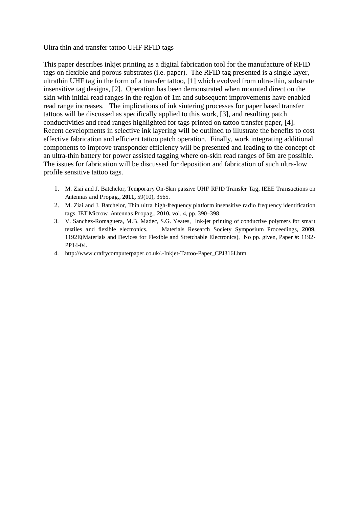Ultra thin and transfer tattoo UHF RFID tags

This paper describes inkjet printing as a digital fabrication tool for the manufacture of RFID tags on flexible and porous substrates (i.e. paper). The RFID tag presented is a single layer, ultrathin UHF tag in the form of a transfer tattoo, [1] which evolved from ultra-thin, substrate insensitive tag designs, [2]. Operation has been demonstrated when mounted direct on the skin with initial read ranges in the region of 1m and subsequent improvements have enabled read range increases. The implications of ink sintering processes for paper based transfer tattoos will be discussed as specifically applied to this work, [3], and resulting patch conductivities and read ranges highlighted for tags printed on tattoo transfer paper, [4]. Recent developments in selective ink layering will be outlined to illustrate the benefits to cost effective fabrication and efficient tattoo patch operation. Finally, work integrating additional components to improve transponder efficiency will be presented and leading to the concept of an ultra-thin battery for power assisted tagging where on-skin read ranges of 6m are possible. The issues for fabrication will be discussed for deposition and fabrication of such ultra-low profile sensitive tattoo tags.

- 1. M. Ziai and J. Batchelor, Temporary On-Skin passive UHF RFID Transfer Tag, IEEE Transactions on Antennas and Propag., **2011,** 59(10), 3565.
- 2. M. Ziai and J. Batchelor, Thin ultra high-frequency platform insensitive radio frequency identification tags, IET Microw. Antennas Propag., **2010,** vol. 4, pp. 390–398.
- 3. V. Sanchez-Romaguera, M.B. Madec, S.G. Yeates, Ink-jet printing of conductive polymers for smart textiles and flexible electronics. Materials Research Society Symposium Proceedings, **2009**, 1192E(Materials and Devices for Flexible and Stretchable Electronics), No pp. given, Paper #: 1192- PP14-04.
- 4. http://www.craftycomputerpaper.co.uk/.-Inkjet-Tattoo-Paper\_CPJ316I.htm